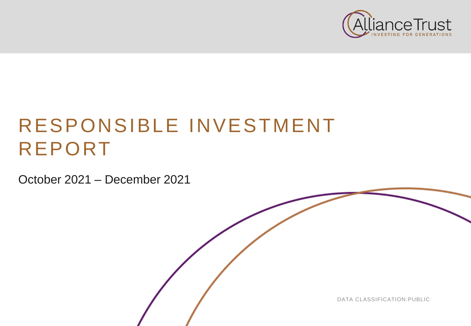

# RESPONSIBLE INVESTMENT REPORT

October 2021 – December 2021

DATA CLASSIFICATION:PUBLIC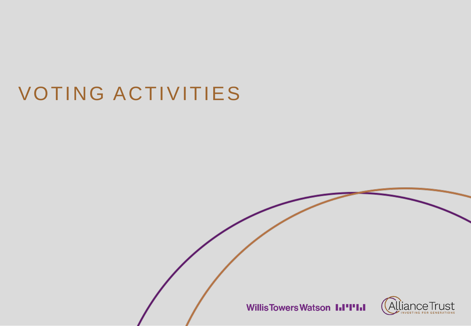# VOTING ACTIVITIES

**WillisTowersWatson I.I'I'I.I** 

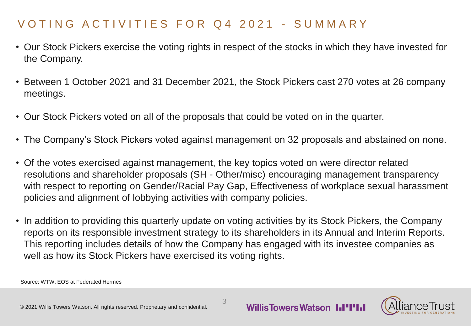# VOTING ACTIVITIES FOR Q4 2021 - SUMMARY

- Our Stock Pickers exercise the voting rights in respect of the stocks in which they have invested for the Company.
- Between 1 October 2021 and 31 December 2021, the Stock Pickers cast 270 votes at 26 company meetings.
- Our Stock Pickers voted on all of the proposals that could be voted on in the quarter.
- The Company's Stock Pickers voted against management on 32 proposals and abstained on none.
- Of the votes exercised against management, the key topics voted on were director related resolutions and shareholder proposals (SH - Other/misc) encouraging management transparency with respect to reporting on Gender/Racial Pay Gap, Effectiveness of workplace sexual harassment policies and alignment of lobbying activities with company policies.
- In addition to providing this quarterly update on voting activities by its Stock Pickers, the Company reports on its responsible investment strategy to its shareholders in its Annual and Interim Reports. This reporting includes details of how the Company has engaged with its investee companies as well as how its Stock Pickers have exercised its voting rights.

3

Source: WTW, EOS at Federated Hermes

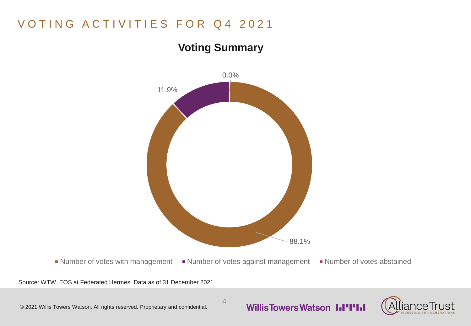# VOTING ACTIVITIES FOR Q4 2021

# **Voting Summary**



Source: WTW, EOS at Federated Hermes. Data as of 31 December 2021

#### 4



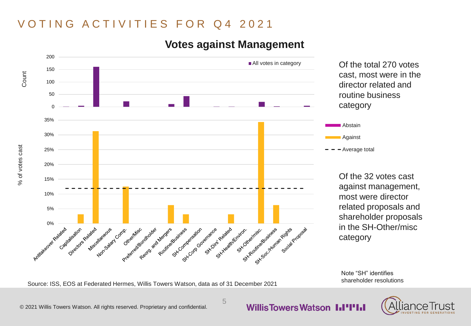## VOTING ACTIVITIES FOR Q4 2021



5

### **Votes against Management**

Note "SH" identifies shareholder resolutions

Source: ISS, EOS at Federated Hermes, Willis Towers Watson, data as of 31 December 2021

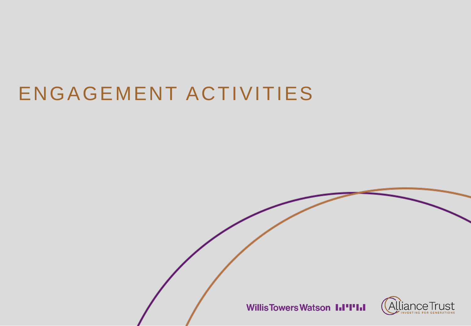# ENGAGEMENT ACTIVITIES

**WillisTowersWatson I.I'I'I.I** 

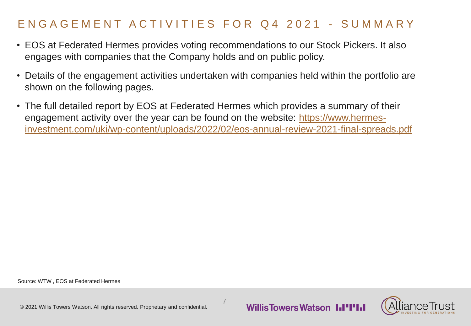# E N G A G E M E N T A C T I V I T I E S F O R Q 4 2021 - S U M M A R Y

- EOS at Federated Hermes provides voting recommendations to our Stock Pickers. It also engages with companies that the Company holds and on public policy.
- Details of the engagement activities undertaken with companies held within the portfolio are shown on the following pages.
- The full detailed report by EOS at Federated Hermes which provides a summary of their engagement activity over the year can be found on the website: https://www.hermes[investment.com/uki/wp-content/uploads/2022/02/eos-annual-review-2021-final-spreads.pdf](https://www.hermes-investment.com/uki/wp-content/uploads/2022/02/eos-annual-review-2021-final-spreads.pdf)

7

Source: WTW , EOS at Federated Hermes

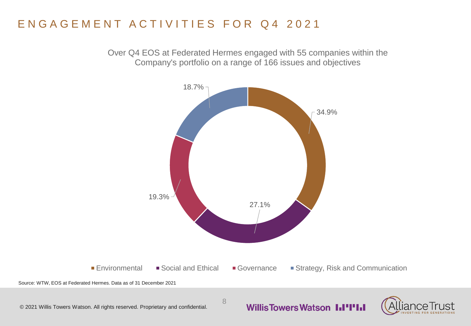# ENGAGEMENT ACTIVITIES FOR Q4 2021

Over Q4 EOS at Federated Hermes engaged with 55 companies within the Company's portfolio on a range of 166 issues and objectives



8

#### **Willis Towers Watson I.I'I'I.I**

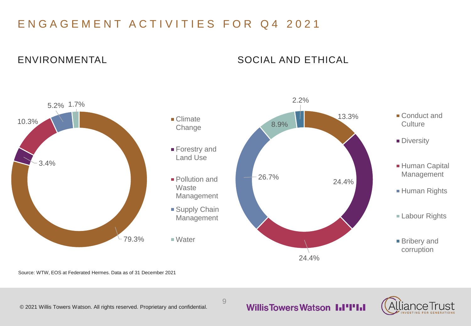# ENGAGEMENT ACTIVITIES FOR Q4 2021

#### ENVIRONMENTAL SOCIAL AND ETHICAL



9

Source: WTW, EOS at Federated Hermes. Data as of 31 December 2021

© 2021 Willis Towers Watson. All rights reserved. Proprietary and confidential.

#### **Willis Towers Watson III'I'III**

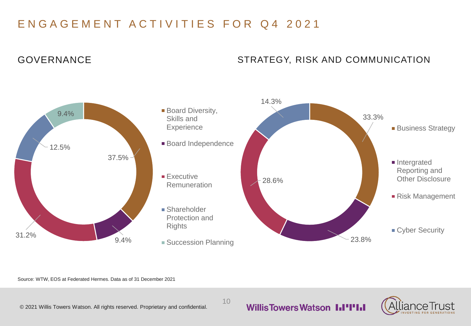# ENGAGEMENT ACTIVITIES FOR Q4 2021

### GOVERNANCE

#### STRATEGY, RISK AND COMMUNICATION



10

Source: WTW, EOS at Federated Hermes. Data as of 31 December 2021

© 2021 Willis Towers Watson. All rights reserved. Proprietary and confidential.

### **Willis Towers Watson I.I'l'I.I**